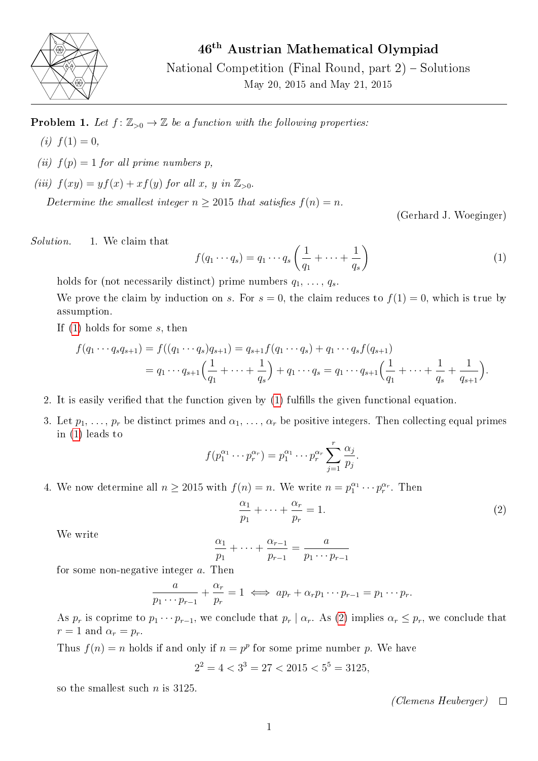

46th Austrian Mathematical Olympiad

National Competition (Final Round, part 2) – Solutions May 20, 2015 and May 21, 2015

**Problem 1.** Let  $f: \mathbb{Z}_{>0} \to \mathbb{Z}$  be a function with the following properties:

- (*i*)  $f(1) = 0$ ,
- (ii)  $f(p) = 1$  for all prime numbers p,
- (iii)  $f(xy) = yf(x) + xf(y)$  for all x, y in  $\mathbb{Z}_{>0}$ .

Determine the smallest integer  $n \geq 2015$  that satisfies  $f(n) = n$ .

(Gerhard J. Woeginger)

Solution. 1. We claim that

<span id="page-0-0"></span>
$$
f(q_1 \cdots q_s) = q_1 \cdots q_s \left(\frac{1}{q_1} + \cdots + \frac{1}{q_s}\right)
$$
 (1)

holds for (not necessarily distinct) prime numbers  $q_1, \ldots, q_s$ .

We prove the claim by induction on s. For  $s = 0$ , the claim reduces to  $f(1) = 0$ , which is true by assumption.

If [\(1\)](#page-0-0) holds for some s, then

$$
f(q_1 \cdots q_s q_{s+1}) = f((q_1 \cdots q_s) q_{s+1}) = q_{s+1} f(q_1 \cdots q_s) + q_1 \cdots q_s f(q_{s+1})
$$
  
=  $q_1 \cdots q_{s+1} \Big( \frac{1}{q_1} + \cdots + \frac{1}{q_s} \Big) + q_1 \cdots q_s = q_1 \cdots q_{s+1} \Big( \frac{1}{q_1} + \cdots + \frac{1}{q_s} + \frac{1}{q_{s+1}} \Big).$ 

- 2. It is easily verified that the function given by [\(1\)](#page-0-0) fulfills the given functional equation.
- 3. Let  $p_1, \ldots, p_r$  be distinct primes and  $\alpha_1, \ldots, \alpha_r$  be positive integers. Then collecting equal primes in [\(1\)](#page-0-0) leads to

$$
f(p_1^{\alpha_1} \cdots p_r^{\alpha_r}) = p_1^{\alpha_1} \cdots p_r^{\alpha_r} \sum_{j=1}^r \frac{\alpha_j}{p_j}
$$

4. We now determine all  $n \ge 2015$  with  $f(n) = n$ . We write  $n = p_1^{\alpha_1} \cdots p_r^{\alpha_r}$ . Then

<span id="page-0-1"></span>
$$
\frac{\alpha_1}{p_1} + \dots + \frac{\alpha_r}{p_r} = 1.
$$
\n(2)

.

We write

$$
\frac{\alpha_1}{p_1} + \dots + \frac{\alpha_{r-1}}{p_{r-1}} = \frac{a}{p_1 \cdots p_{r-1}}
$$

for some non-negative integer a. Then

$$
\frac{a}{p_1 \cdots p_{r-1}} + \frac{\alpha_r}{p_r} = 1 \iff ap_r + \alpha_r p_1 \cdots p_{r-1} = p_1 \cdots p_r.
$$

As  $p_r$  is coprime to  $p_1 \cdots p_{r-1}$ , we conclude that  $p_r \mid \alpha_r$ . As [\(2\)](#page-0-1) implies  $\alpha_r \leq p_r$ , we conclude that  $r=1$  and  $\alpha_r=p_r$ .

Thus  $f(n) = n$  holds if and only if  $n = p^p$  for some prime number p. We have

$$
2^2 = 4 < 3^3 = 27 < 2015 < 5^5 = 3125,
$$

so the smallest such  $n$  is 3125.

(Clemens Heuberger)  $\Box$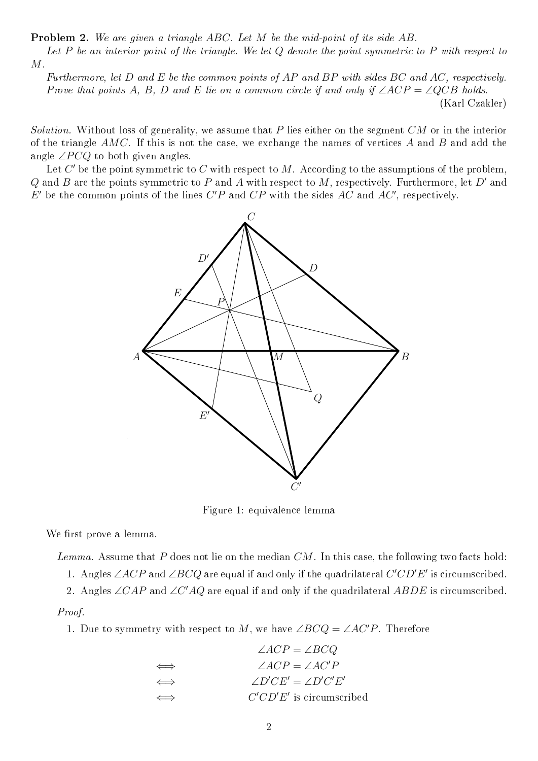Problem 2. We are given a triangle ABC. Let M be the mid-point of its side AB.

Let  $P$  be an interior point of the triangle. We let  $Q$  denote the point symmetric to  $P$  with respect to M.

Furthermore, let D and E be the common points of AP and BP with sides BC and AC, respectively. Prove that points A, B, D and E lie on a common circle if and only if  $\angle ACP = \angle QCB$  holds. (Karl Czakler)

Solution. Without loss of generality, we assume that P lies either on the segment  $CM$  or in the interior of the triangle AMC. If this is not the case, we exchange the names of vertices A and B and add the angle  $\angle PCQ$  to both given angles.

Let  $C'$  be the point symmetric to  $C$  with respect to  $M$ . According to the assumptions of the problem, Q and B are the points symmetric to P and A with respect to M, respectively. Furthermore, let D' and  $E'$  be the common points of the lines  $C'P$  and  $CP$  with the sides  $AC$  and  $AC'$ , respectively.



Figure 1: equivalence lemma

We first prove a lemma.

Lemma. Assume that P does not lie on the median  $CM$ . In this case, the following two facts hold:

1. Angles  $\angle ACP$  and  $\angle B CQ$  are equal if and only if the quadrilateral  $C^{\prime}CD^{\prime}E^{\prime}$  is circumscribed.

2. Angles  $\angle CAP$  and  $\angle C'AQ$  are equal if and only if the quadrilateral  $ABDE$  is circumscribed.

Proof.

1. Due to symmetry with respect to M, we have  $\angle BCQ = \angle AC'P$ . Therefore

|        | $\angle ACP = \angle BCQ$      |
|--------|--------------------------------|
| $\iff$ | $\angle ACP = \angle AC'P$     |
| $\iff$ | $\angle D'CE' = \angle D'C'E'$ |
| $\iff$ | $C'CD'E'$ is circumscribed     |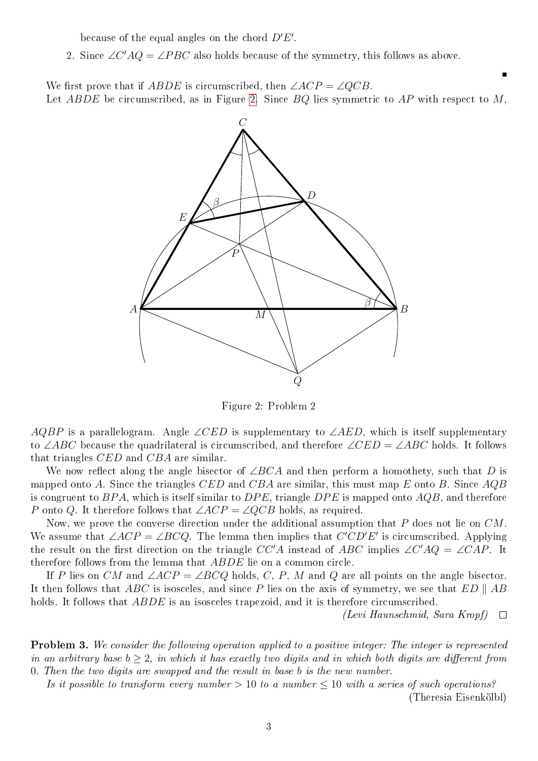because of the equal angles on the chord  $D'E'$ .

2. Since  $\angle C'AQ = \angle PBC$  also holds because of the symmetry, this follows as above.

We first prove that if  $ABDE$  is circumscribed, then  $\angle ACP = \angle QCB$ . Let ABDE be circumscribed, as in Figure [2.](#page-2-0) Since  $BQ$  lies symmetric to AP with respect to M,



<span id="page-2-0"></span>Figure 2: Problem 2

AQBP is a parallelogram. Angle ∠CED is supplementary to ∠AED, which is itself supplementary to ∠ABC because the quadrilateral is circumscribed, and therefore  $\angle CED = \angle ABC$  holds. It follows that triangles CED and CBA are similar.

We now reflect along the angle bisector of  $\angle BCA$  and then perform a homothety, such that D is mapped onto A. Since the triangles CED and CBA are similar, this must map E onto B. Since  $AQB$ is congruent to  $BPA$ , which is itself similar to  $DPE$ , triangle  $DPE$  is mapped onto  $AQB$ , and therefore P onto Q. It therefore follows that  $\angle ACP = \angle QCB$  holds, as required.

Now, we prove the converse direction under the additional assumption that  $P$  does not lie on  $CM$ . We assume that  $\angle ACP = \angle B C Q$ . The lemma then implies that  $C'CD'E'$  is circumscribed. Applying the result on the first direction on the triangle  $CC'A$  instead of ABC implies  $\angle C'AQ = \angle CAP$ . It therefore follows from the lemma that ABDE lie on a common circle.

If P lies on CM and  $\angle ACP = \angle BCQ$  holds, C, P, M and Q are all points on the angle bisector. It then follows that ABC is isosceles, and since P lies on the axis of symmetry, we see that  $ED \parallel AB$ holds. It follows that *ABDE* is an isosceles trapezoid, and it is therefore circumscribed.

> (Levi Haunschmid, Sara Kropf)  $\Box$

п

Problem 3. We consider the following operation applied to a positive integer: The integer is represented in an arbitrary base  $b > 2$ , in which it has exactly two digits and in which both digits are different from 0. Then the two digits are swapped and the result in base b is the new number.

Is it possible to transform every number  $> 10$  to a number  $\leq 10$  with a series of such operations? (Theresia Eisenkölbl)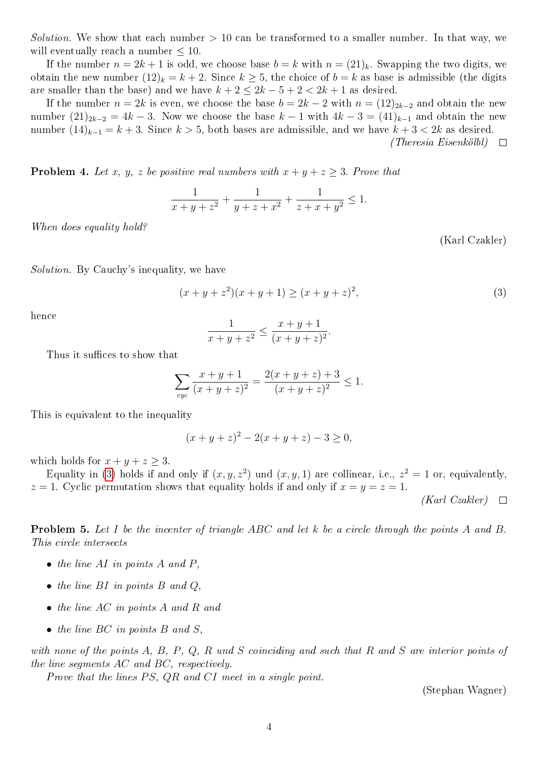Solution. We show that each number  $> 10$  can be transformed to a smaller number. In that way, we will eventually reach a number  $\leq 10$ .

If the number  $n = 2k + 1$  is odd, we choose base  $b = k$  with  $n = (21)_k$ . Swapping the two digits, we obtain the new number  $(12)_k = k + 2$ . Since  $k \geq 5$ , the choice of  $b = k$  as base is admissible (the digits are smaller than the base) and we have  $k + 2 \leq 2k - 5 + 2 < 2k + 1$  as desired.

If the number  $n = 2k$  is even, we choose the base  $b = 2k - 2$  with  $n = (12)_{2k-2}$  and obtain the new number  $(21)_{2k-2} = 4k - 3$ . Now we choose the base  $k - 1$  with  $4k - 3 = (41)_{k-1}$  and obtain the new number  $(14)_{k-1} = k+3$ . Since  $k > 5$ , both bases are admissible, and we have  $k+3 < 2k$  as desired.  $(Theresia~Eisenköllol) \quad \Box$ 

**Problem 4.** Let x, y, z be positive real numbers with  $x + y + z \geq 3$ . Prove that

$$
\frac{1}{x+y+z^2} + \frac{1}{y+z+x^2} + \frac{1}{z+x+y^2} \le 1.
$$

When does equality hold?

(Karl Czakler)

Solution. By Cauchy's inequality, we have

<span id="page-3-0"></span>
$$
(x+y+z^2)(x+y+1) \ge (x+y+z)^2,
$$
\n(3)

hence

$$
\frac{1}{x+y+z^2} \le \frac{x+y+1}{(x+y+z)^2}.
$$

Thus it suffices to show that

$$
\sum_{cyc} \frac{x+y+1}{(x+y+z)^2} = \frac{2(x+y+z)+3}{(x+y+z)^2} \le 1.
$$

This is equivalent to the inequality

$$
(x + y + z)2 - 2(x + y + z) - 3 \ge 0,
$$

which holds for  $x + y + z \geq 3$ .

Equality in [\(3\)](#page-3-0) holds if and only if  $(x, y, z^2)$  und  $(x, y, 1)$  are collinear, i.e.,  $z^2 = 1$  or, equivalently,  $z = 1$ . Cyclic permutation shows that equality holds if and only if  $x = y = z = 1$ .

 $(Karl Czakler)$   $\Box$ 

Problem 5. Let I be the incenter of triangle ABC and let k be a circle through the points A and B. This circle intersects

- $\bullet$  the line AI in points A and P,
- the line  $BI$  in points  $B$  and  $Q$ ,
- the line AC in points A and R and
- the line BC in points B and S.

with none of the points  $A, B, P, Q, R$  und  $S$  coinciding and such that  $R$  and  $S$  are interior points of the line segments AC and BC, respectively.

Prove that the lines  $PS$ ,  $QR$  and  $CI$  meet in a single point.

(Stephan Wagner)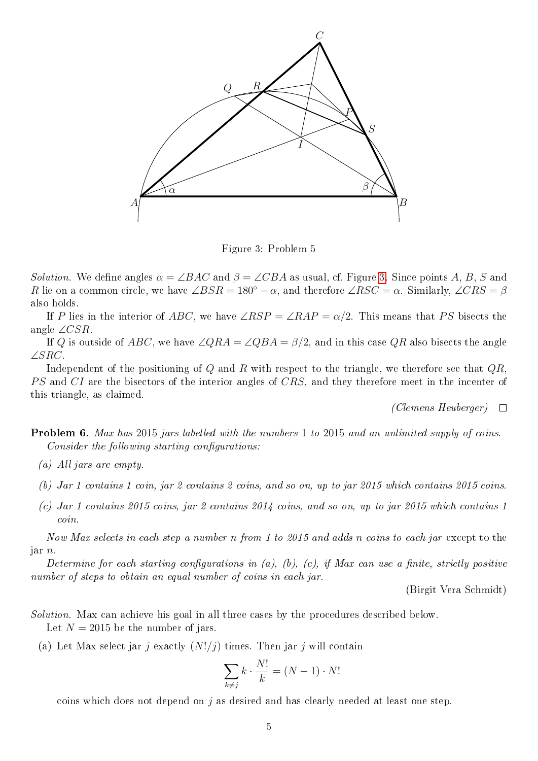

<span id="page-4-0"></span>Figure 3: Problem 5

Solution. We define angles  $\alpha = \angle BAC$  and  $\beta = \angle CBA$  as usual, cf. Figure [3.](#page-4-0) Since points A, B, S and R lie on a common circle, we have  $\angle BSR = 180^\circ - \alpha$ , and therefore  $\angle RSC = \alpha$ . Similarly,  $\angle CRS = \beta$ also holds.

If P lies in the interior of ABC, we have  $\angle RSP = \angle RAP = \alpha/2$ . This means that PS bisects the angle ∠ $CSR$ .

If Q is outside of ABC, we have  $\angle QRA = \angle QBA = \beta/2$ , and in this case QR also bisects the angle ∠SRC.

Independent of the positioning of  $Q$  and  $R$  with respect to the triangle, we therefore see that  $QR$ . PS and CI are the bisectors of the interior angles of CRS, and they therefore meet in the incenter of this triangle, as claimed.

(Clemens Heuberger)  $\Box$ 

Problem 6. Max has 2015 jars labelled with the numbers 1 to 2015 and an unlimited supply of coins.  $Consider the following starting configurations:$ 

- (a) All jars are empty.
- (b) Jar 1 contains 1 coin, jar 2 contains 2 coins, and so on, up to jar 2015 which contains 2015 coins.
- (c) Jar 1 contains 2015 coins, jar 2 contains 2014 coins, and so on, up to jar 2015 which contains 1 coin.

Now Max selects in each step a number n from 1 to 2015 and adds n coins to each jar except to the jar n.

Determine for each starting configurations in (a), (b), (c), if Max can use a finite, strictly positive number of steps to obtain an equal number of coins in each jar.

(Birgit Vera Schmidt)

- Solution. Max can achieve his goal in all three cases by the procedures described below. Let  $N = 2015$  be the number of jars.
	- (a) Let Max select jar j exactly  $(N!/j)$  times. Then jar j will contain

$$
\sum_{k \neq j} k \cdot \frac{N!}{k} = (N-1) \cdot N!
$$

coins which does not depend on j as desired and has clearly needed at least one step.